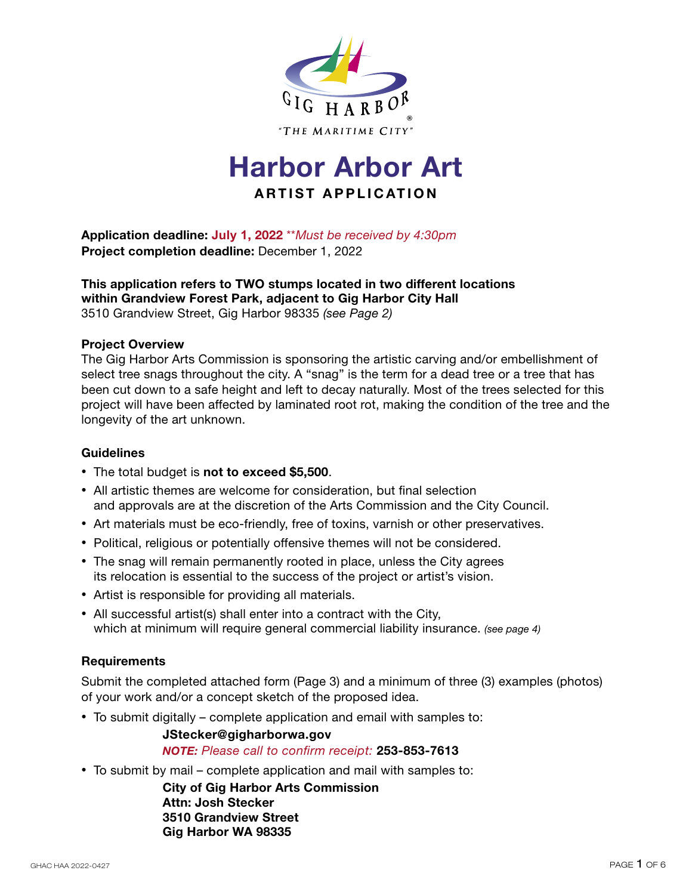

# **Harbor Arbor Art ARTIST APPLIC ATION**

**Application deadline: July 1, 2022** \*\**Must be received by 4:30pm* **Project completion deadline:** December 1, 2022

#### **This application refers to TWO stumps located in two different locations within Grandview Forest Park, adjacent to Gig Harbor City Hall** 3510 Grandview Street, Gig Harbor 98335 *(see Page 2)*

#### **Project Overview**

The Gig Harbor Arts Commission is sponsoring the artistic carving and/or embellishment of select tree snags throughout the city. A "snag" is the term for a dead tree or a tree that has been cut down to a safe height and left to decay naturally. Most of the trees selected for this project will have been affected by laminated root rot, making the condition of the tree and the longevity of the art unknown.

#### **Guidelines**

- The total budget is **not to exceed \$5,500**.
- All artistic themes are welcome for consideration, but final selection and approvals are at the discretion of the Arts Commission and the City Council.
- Art materials must be eco-friendly, free of toxins, varnish or other preservatives.
- Political, religious or potentially offensive themes will not be considered.
- The snag will remain permanently rooted in place, unless the City agrees its relocation is essential to the success of the project or artist's vision.
- Artist is responsible for providing all materials.
- All successful artist(s) shall enter into a contract with the City, which at minimum will require general commercial liability insurance. *(see page 4)*

#### **Requirements**

Submit the completed attached form (Page 3) and a minimum of three (3) examples (photos) of your work and/or a concept sketch of the proposed idea.

• To submit digitally – complete application and email with samples to:

#### **JStecker@gigharborwa.gov** *NOTE: Please call to confirm receipt:* **253-853-7613**

• To submit by mail – complete application and mail with samples to:

**City of Gig Harbor Arts Commission Attn: Josh Stecker 3510 Grandview Street Gig Harbor WA 98335**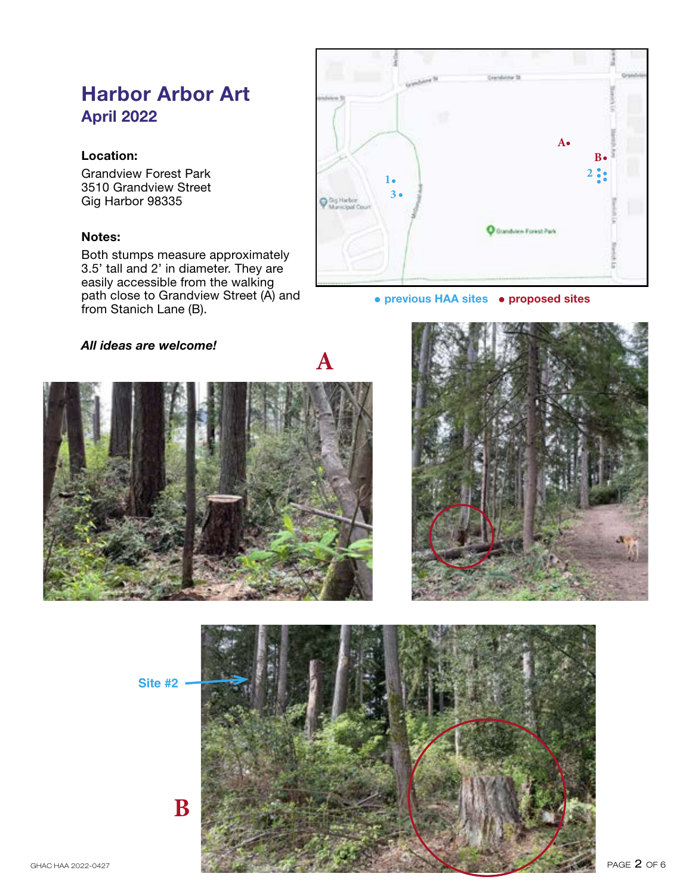## **Harbor Arbor Art April 2022**

#### **Location:**

Grandview Forest Park 3510 Grandview Street Gig Harbor 98335

#### **Notes:**

Both stumps measure approximately 3.5' tall and 2' in diameter. They are easily accessible from the walking path close to Grandview Street (A) and from Stanich Lane (B).

|                              | <b>Conduct St.</b> | Grandview 38          |             |  |
|------------------------------|--------------------|-----------------------|-------------|--|
|                              |                    |                       |             |  |
|                              |                    | A.                    |             |  |
|                              |                    |                       | $B \bullet$ |  |
| $1\bullet$                   |                    |                       | 2:          |  |
| Gg Harbor<br>Manicipal Court | $3 \cdot$          |                       |             |  |
|                              |                    | Grandview Forest Park |             |  |
|                              |                    |                       |             |  |

#### **• previous HAA sites • proposed sites**

#### *All ideas are welcome!*





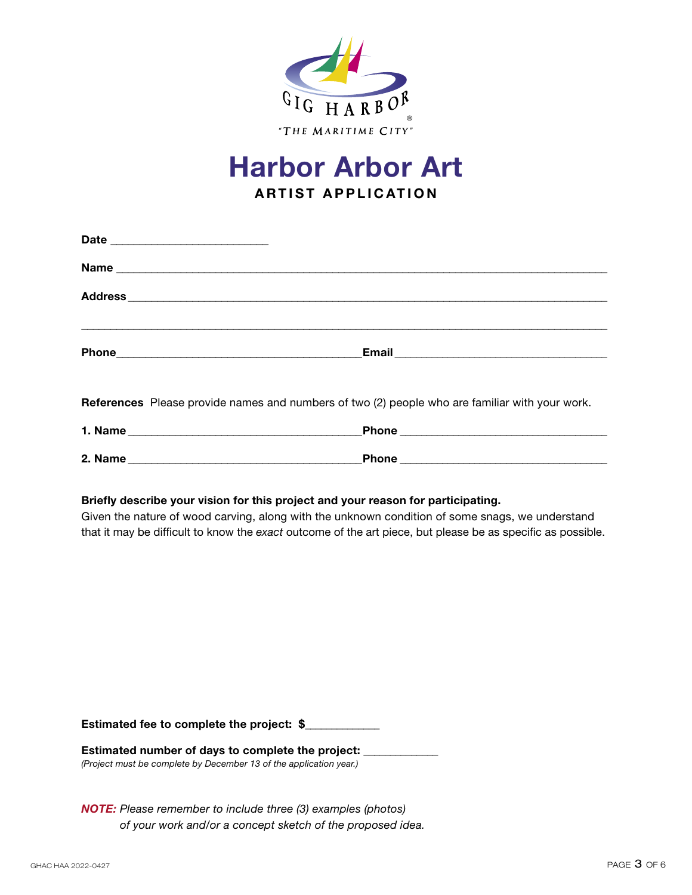

# **Harbor Arbor Art ARTIST APPLICATION**

| References Please provide names and numbers of two (2) people who are familiar with your work.                          |                                                                                                                                                                                                                |
|-------------------------------------------------------------------------------------------------------------------------|----------------------------------------------------------------------------------------------------------------------------------------------------------------------------------------------------------------|
|                                                                                                                         |                                                                                                                                                                                                                |
|                                                                                                                         |                                                                                                                                                                                                                |
| Briefly describe your vision for this project and your reason for participating.                                        | Given the nature of wood carving, along with the unknown condition of some snags, we understand<br>that it may be difficult to know the exact outcome of the art piece, but please be as specific as possible. |
| Estimated fee to complete the project: \$                                                                               |                                                                                                                                                                                                                |
| Estimated number of days to complete the project:<br>(Project must be complete by December 13 of the application year.) |                                                                                                                                                                                                                |

*NOTE: Please remember to include three (3) examples (photos) of your work and/or a concept sketch of the proposed idea.*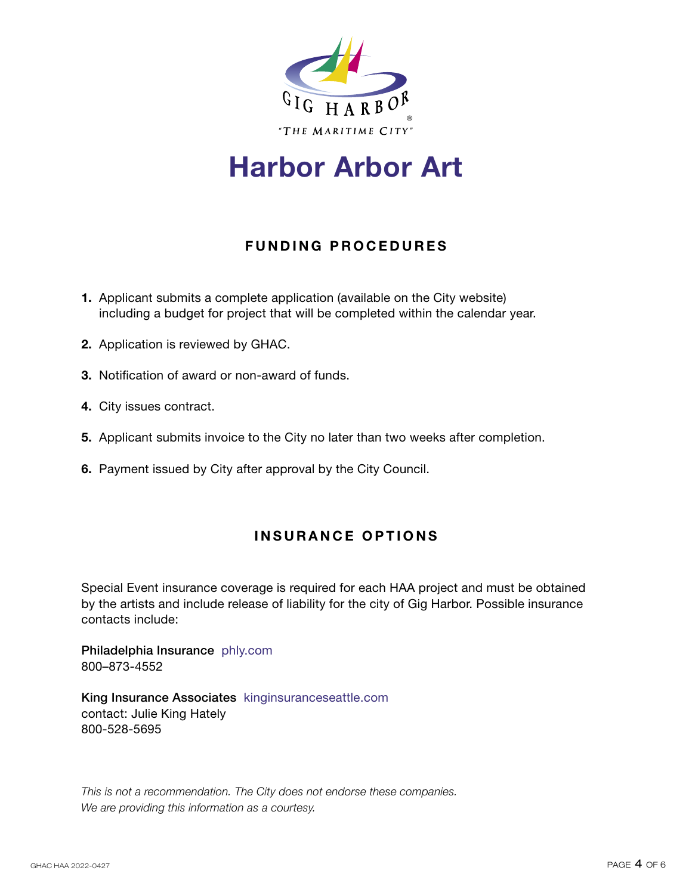

# **Harbor Arbor Art**

## **FUNDING PROCEDURES**

- **1.** Applicant submits a complete application (available on the City website) including a budget for project that will be completed within the calendar year.
- **2.** Application is reviewed by GHAC.
- **3.** Notification of award or non-award of funds.
- **4.** City issues contract.
- **5.** Applicant submits invoice to the City no later than two weeks after completion.
- **6.** Payment issued by City after approval by the City Council.

### **INSURANCE OPTIONS**

Special Event insurance coverage is required for each HAA project and must be obtained by the artists and include release of liability for the city of Gig Harbor. Possible insurance contacts include:

Philadelphia Insurance phly.com 800–873-4552

King Insurance Associates kinginsuranceseattle.com contact: Julie King Hately 800-528-5695

*This is not a recommendation. The City does not endorse these companies. We are providing this information as a courtesy.*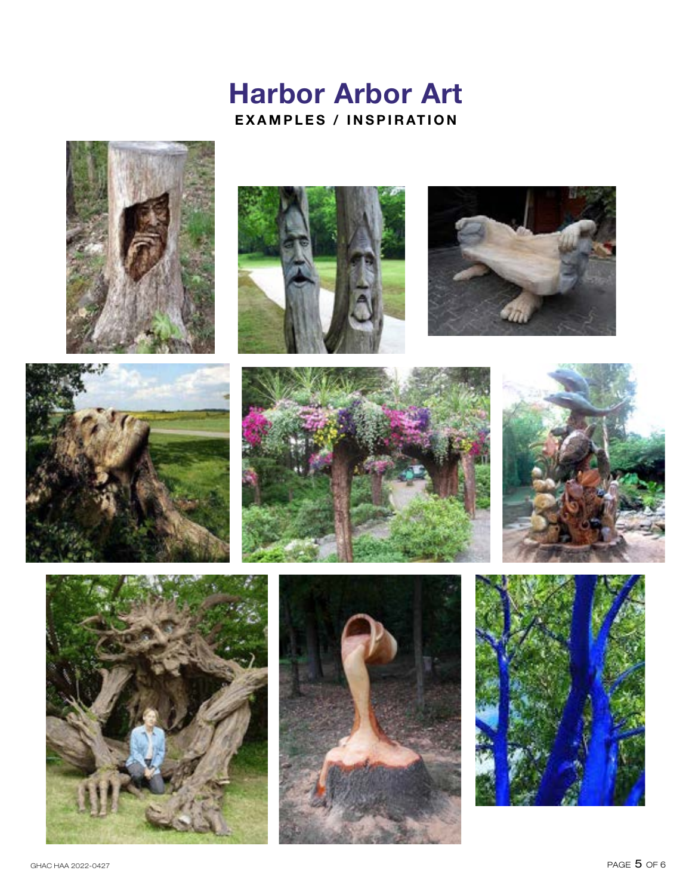# **Harbor Arbor Art EXAMPLES / INSPIRATION**